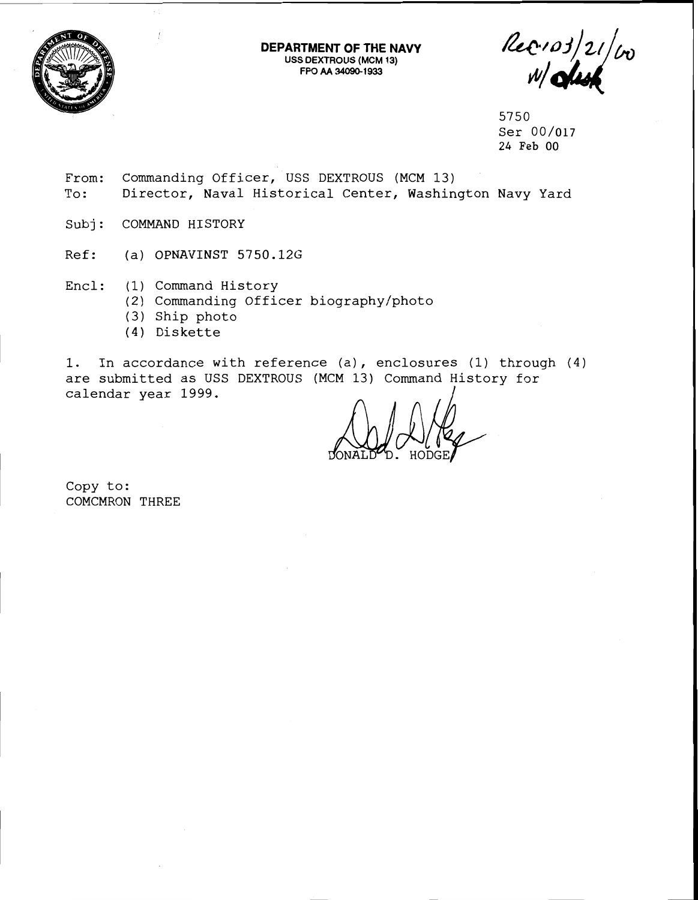

**DEPARTMENT OF THE NAVY USS DEXTROUS (MCM 13) FPO AA 34090-1933** 

Rec.  $103/21/\omega_0$ 

5750 Ser 00/017 24 Feb 00

- From: Commanding Officer, USS DEXTROUS (MCM 13) To: Director, Naval Historical Center, Washington Navy Yard
- Subj: COMMAND HISTORY
- Ref: (a) OPNAVINST 5750.12G
- Encl: (1) Command History
	- (2) Commanding Officer biography/photo
	- (3) Ship photo
	- (4) Diskette

1. In accordance with reference (a), enclosures (1) through (4) are submitted as USS DEXTROUS (MCM 13) Command History for calendar year 1999.

Copy to: COMCMRON THREE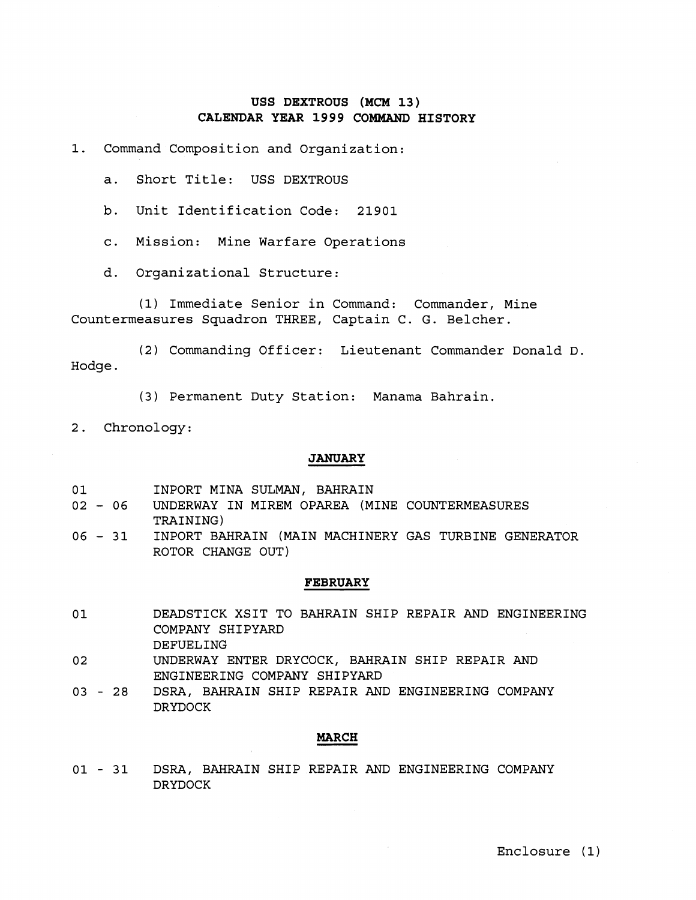# **USS DEXTROUS (MCM 13) CALENDAR YEAR 1999 COMMAND HISTORY**

1. Command Composition and Organization:

a. Short Title: USS DEXTROUS

b. Unit Identification Code: 21901

c. Mission: Mine Warfare Operations

d. Organizational Structure:

(1) Immediate Senior in Command: Commander, Mine Countermeasures Squadron THREE, Captain C. G. Belcher.

(2) Commanding Officer: Lieutenant Commander Donald D. Hodge .

(3) Permanent Duty Station: Manama Bahrain.

2. Chronology:

## **JANUARY**

| 01 |  |  |  | INPORT MINA SULMAN, BAHRAIN |
|----|--|--|--|-----------------------------|
|----|--|--|--|-----------------------------|

- <sup>02</sup> 06 UNDERWAY IN MIREM OPAREA (MINE COUNTERMEASURES TRAINING)
- <sup>06</sup> 31 INPORT BAHRAIN (MAIN MACHINERY GAS TURBINE GENERATOR ROTOR CHANGE OUT)

## **FEBRUARY**

- DEADSTICK XSIT TO BAHRAIN SHIP REPAIR AND ENGINEERING 01 COMPANY SHIPYARD DEFUELING
- 02 UNDERWAY ENTER DRYCOCK, BAHRAIN SHIP REPAIR AND ENGINEERING COMPANY SHIPYARD
- 03 28 DSRA, BAHRAIN SHIP REPAIR AND ENGINEERING COMPANY DRYDOCK

## **MARCH**

01 - 31 DSRA, BAHRAIN SHIP REPAIR AND ENGINEERING COMPANY DRYDOCK

Enclosure ( **1)**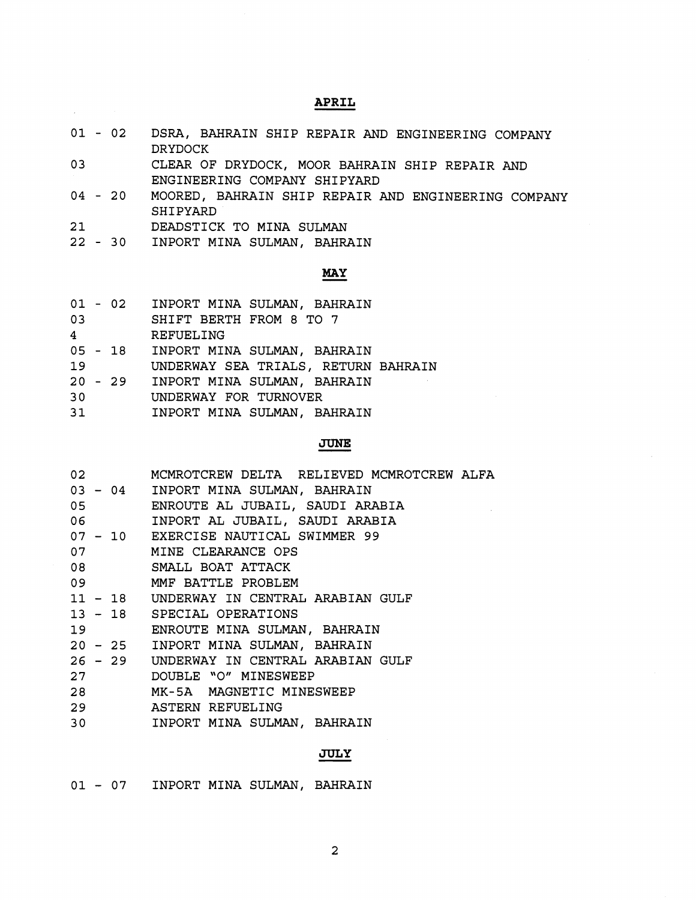# **APRIL**

- $01 02$ DSRA, BAHRAIN SHIP REPAIR AND ENGINEERING COMPANY DRYDOCK
- 03 CLEAR OF DRYDOCK, MOOR BAHRAIN SHIP REPAIR AND ENGINEERING COMPANY SHIPYARD
- $04 20$ MOORED, BAHRAIN SHIP REPAIR AND ENGINEERING COMPANY SHIPYARD
- $21$ DEADSTICK TO MINA SULMAN
- INPORT MINA SULMAN, BAHRAIN MAN<br>AHRAIN<br><mark>MAY</mark>

|  |  | $01 - 02$ |  |  |  | INPORT MINA SULMAN, BAHRAIN |
|--|--|-----------|--|--|--|-----------------------------|
|--|--|-----------|--|--|--|-----------------------------|

- 03 SHIFT BERTH FROM 8 TO 7
- $4<sup>1</sup>$ REFUELING

 $\mathcal{A}^{\text{max}}$ 

- 05 18 INPORT MINA SULMAN, BAHRAIN
- $19<sup>°</sup>$ UNDERWAY SEA TRIALS, RETURN BAHRAIN
- 20 29 INPORT MINA SULMAN, BAHRAIN
- $30<sub>o</sub>$ UNDERWAY FOR TURNOVER
- INPORT MINA SULMAN, BAHRAIN  $31$

# **JUNE**

| 02 MCMROTCREW DELTA RELIEVED MCMROTCREW ALFA |
|----------------------------------------------|
| 03 - 04 INPORT MINA SULMAN, BAHRAIN          |
| 05 ENROUTE AL JUBAIL, SAUDI ARABIA           |
| 06       INPORT AL JUBAIL, SAUDI ARABIA      |
| 07 - 10 EXERCISE NAUTICAL SWIMMER 99         |
| 07 MINE CLEARANCE OPS                        |
| 08 SMALL BOAT ATTACK                         |
| 09 MMF BATTLE PROBLEM                        |
| 11 - 18 UNDERWAY IN CENTRAL ARABIAN GULF     |
| 13 - 18 SPECIAL OPERATIONS                   |
| 19 ENROUTE MINA SULMAN, BAHRAIN              |
| 20 - 25 INPORT MINA SULMAN, BAHRAIN          |
| 26 - 29 UNDERWAY IN CENTRAL ARABIAN GULF     |
| 27 DOUBLE "O" MINESWEEP                      |
| 28 MK-5A MAGNETIC MINESWEEP                  |
| 29 ASTERN REFUELING                          |
| 30 INPORT MINA SULMAN, BAHRAIN               |
|                                              |

## **JULY**

| INPORT MINA SULMAN, BAHRAIN<br>01 - 07 |  |  |
|----------------------------------------|--|--|
|----------------------------------------|--|--|

 $\overline{a}$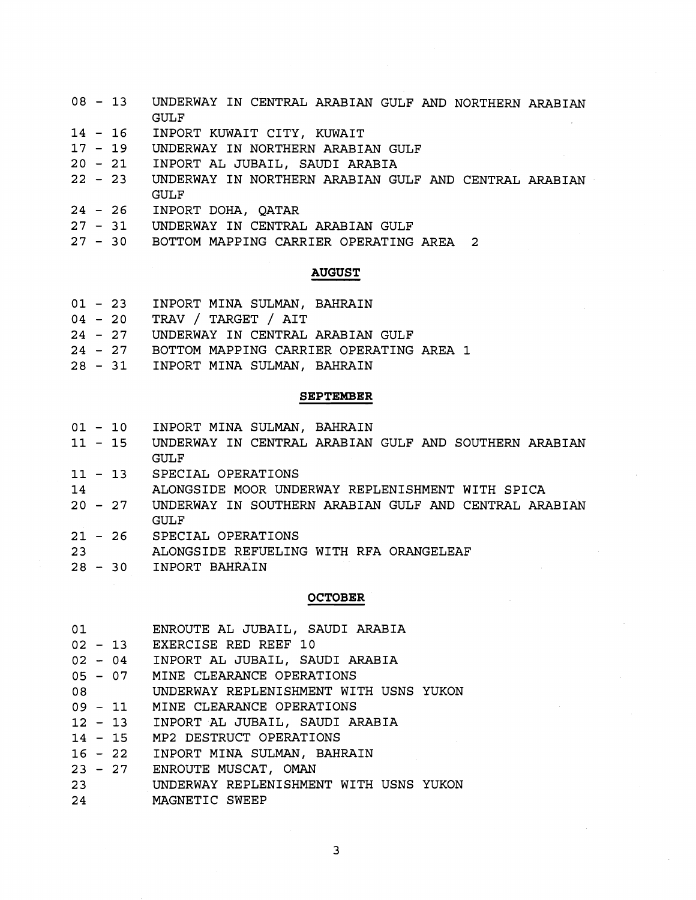- $08 13$ UNDERWAY IN CENTRAL ARABIAN GULF AND NORTHERN ARABIAN GULF
- $14 16$ INPORT KUWAIT CITY, KUWAIT
- $17 19$ UNDERWAY IN NORTHERN ARABIAN GULF
- $20 21$ INPORT AL JUBAIL, SAUDI ARABIA
- $22 23$ UNDERWAY IN NORTHERN ARABIAN GULF AND CENTRAL ARABIAN GULF
- $24 26$ INPORT DOHA, QATAR
- 27 31 UNDERWAY IN CENTRAL ARABIAN GULF
- BOTTOM MAPPING CARRIER OPERATING AREA 2

## **AUGUST**

- 01 23 INPORT MINA SULMAN, BAHRAIN
- 04 20 TRAV / TARGET / AIT
- 24 27 UNDERWAY IN CENTRAL ARABIAN GULF
- 24 27 BOTTOM MAPPING CARRIER OPERATING AREA 1
- 28 31 INPORT MINA SULMAN, BAHRAIN

## **SEPTEMBER**

- $01 10$ INPORT MINA SULMAN, BAHRAIN
- $11 15$ UNDERWAY IN CENTRAL ARABIAN GULF AND SOUTHERN ARABIAN GULF
- $11 13$ SPECIAL OPERATIONS
- 14 ALONGSIDE MOOR UNDERWAY REPLENISHMENT WITH SPICA
- UNDERWAY IN SOUTHERN ARABIAN GULF AND CENTRAL ARABIAN  $20 - 27$ GULF
- 21 26 SPECIAL OPERATIONS
- ALONGSIDE REFUELING WITH RFA ORANGELEAF  $23<sup>2</sup>$
- $28 30$ INPORT BAHRAIN

## **OCTOBER**

| 01    | ENROUTE AL JUBAIL, SAUDI ARABIA        |
|-------|----------------------------------------|
|       | 02 - 13 EXERCISE RED REEF 10           |
|       | 02 - 04 INPORT AL JUBAIL, SAUDI ARABIA |
|       | 05 - 07 MINE CLEARANCE OPERATIONS      |
| 08 08 | UNDERWAY REPLENISHMENT WITH USNS YUKON |
|       | 09 - 11 MINE CLEARANCE OPERATIONS      |
|       | 12 - 13 INPORT AL JUBAIL, SAUDI ARABIA |
|       | 14 - 15 MP2 DESTRUCT OPERATIONS        |
|       | 16 - 22 INPORT MINA SULMAN, BAHRAIN    |
|       | 23 - 27 ENROUTE MUSCAT, OMAN           |
| 23    | UNDERWAY REPLENISHMENT WITH USNS YUKON |
| 24    | MAGNETIC SWEEP                         |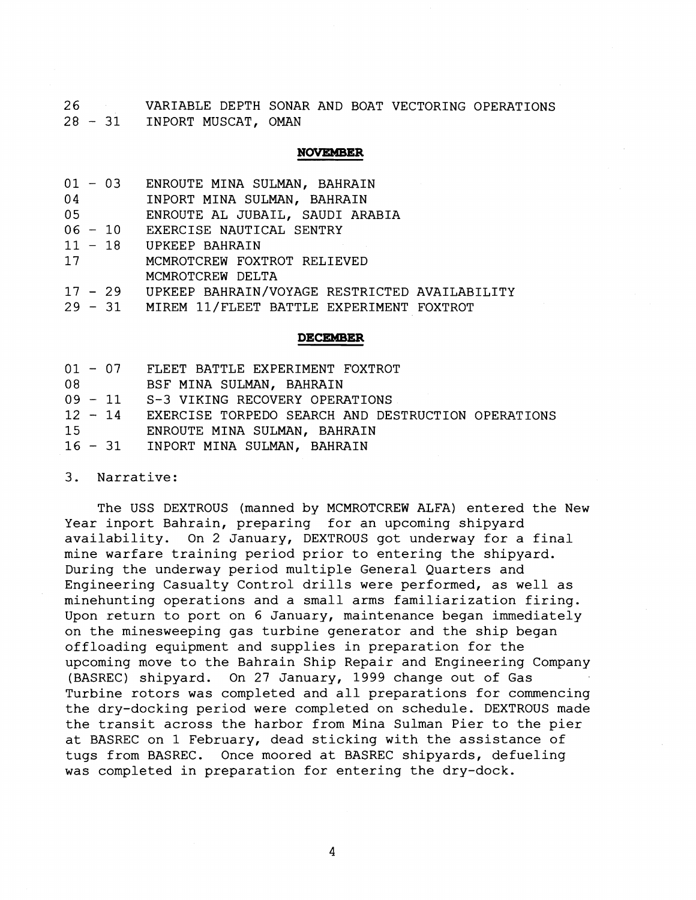26 VARIABLE DEPTH SONAR AND BOAT VECTORING OPERATIONS <sup>28</sup>- 31 INPORT MUSCAT, OMAN

# **NOVEMBER**

| 01 - 03<br>ENROUTE MINA SULMAN, BAHRAIN |  |  |
|-----------------------------------------|--|--|
|-----------------------------------------|--|--|

04 INPORT MINA SULMAN, BAHRAIN

 $0<sub>5</sub>$ ENROUTE AL JUBAIL, SAUDI ARABIA

- $06 10$ EXERCISE NAUTICAL SENTRY
- $11 18$ UPKEEP BAHRAIN
- $17$ MCMROTCREW FOXTROT RELIEVED MCMROTCREW DELTA
- $17 29$ UPKEEP BAHRAIN/VOYAGE RESTRICTED AVAILABILITY
- $29 31$ MIREM 11/FLEET BATTLE EXPERIMENT FOXTROT

### **DECEMBER**

|               | 01 - 07 FLEET BATTLE EXPERIMENT FOXTROT                    |
|---------------|------------------------------------------------------------|
| $08$ and $08$ | BSF MINA SULMAN, BAHRAIN                                   |
|               | 09 - 11 S-3 VIKING RECOVERY OPERATIONS                     |
|               | 12 - 14 EXERCISE TORPEDO SEARCH AND DESTRUCTION OPERATIONS |
|               | 15 ENROUTE MINA SULMAN, BAHRAIN                            |
|               | 16 - 31 INPORT MINA SULMAN, BAHRAIN                        |

3. Narrative:

The USS DEXTROUS (manned by MCMROTCREW ALFA) entered the New Year inport Bahrain, preparing for an upcoming shipyard availability. On 2 January, DEXTROUS got underway for a final mine warfare training period prior to entering the shipyard. During the underway period multiple General Quarters and Engineering Casualty Control drills were performed, as well as minehunting operations and a small arms familiarization firing. Upon return to port on 6 January, maintenance began immediately on the minesweeping gas turbine generator and the ship began offloading equipment and supplies in preparation for the upcoming move to the Bahrain Ship Repair and Engineering Company (BASREC) shipyard. On 27 January, 1999 change out of Gas Turbine rotors was completed and all preparations for commencing the dry-docking period were completed on schedule. DEXTROUS made the transit across the harbor from Mina Sulman Pier to the pier at BASREC on 1 February, dead sticking with the assistance of tugs from BASREC. Once moored at BASREC shipyards, defueling was completed in preparation for entering the dry-dock.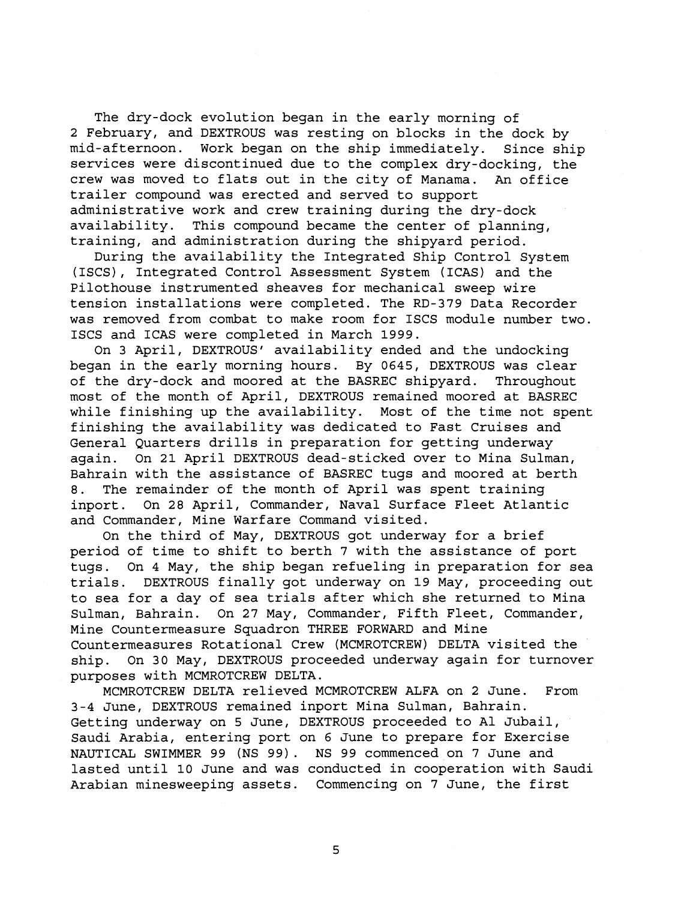The dry-dock evolution began in the early morning of 2 February, and DEXTROUS was resting on blocks in the dock by mid-afternoon. Work began on the ship immediately. Since ship services were discontinued due to the complex dry-docking, the crew was moved to flats out in the city of Manama. An office trailer compound was erected and served to support administrative work and crew training during the dry-dock availability. This compound became the center of planning, training, and administration during the shipyard period.

During the availability the Integrated Ship Control System (ISCS), Integrated Control Assessment System (ICAS) and the Pilothouse instrumented sheaves for mechanical sweep wire tension installations were completed. The RD-379 Data Recorder was removed from combat to make room for ISCS module number two. ISCS and ICAS were completed in March 1999.

On 3 April, DEXTROUS' availability ended and the undocking began in the early morning hours. By 0645, DEXTROUS was clear of the dry-dock and moored at the BASREC shipyard. Throughout most of the month of April, DEXTROUS remained moored at BASREC while finishing up the availability. Most of the time not spent finishing the availability was dedicated to Fast Cruises and General Quarters drills in preparation for getting underway again. On 21 April DEXTROUS dead-sticked over to Mina Sulman, Bahrain with the assistance of BASREC tugs and moored at berth 8. The remainder of the month of April was spent training inport. On 28 April, Commander, Naval Surface Fleet Atlantic and Commander, Mine Warfare Command visited.

On the third of May, DEXTROUS got underway for a brief period of time to shift to berth 7 with the assistance of port tugs. On 4 May, the ship began refueling in preparation for sea trials. DEXTROUS finally got underway on 19 May, proceeding out to sea for a day of sea trials after which she returned to Mina Sulman, Bahrain. On 27 May, Commander, Fifth Fleet, Commander, Mine Countermeasure Squadron THREE FORWARD and Mine Countermeasures Rotational Crew (MCMROTCREW) DELTA visited the ship. On 30 May, DEXTROUS proceeded underway again for turnover purposes with MCMROTCREW DELTA.

MCMROTCREW DELTA relieved MCMROTCREW ALFA on 2 June. From 3-4 June, DEXTROUS remained inport Mina Sulman, Bahrain. Getting underway on 5 June, DEXTROUS proceeded to A1 Jubail, Saudi Arabia, entering port on 6 June to prepare for Exercise NAUTICAL SWIMMER 99 (NS 99). NS 99 commenced on 7 June and lasted until 10 June and was conducted in cooperation with Saudi Arabian minesweeping assets. Commencing on 7 June, the first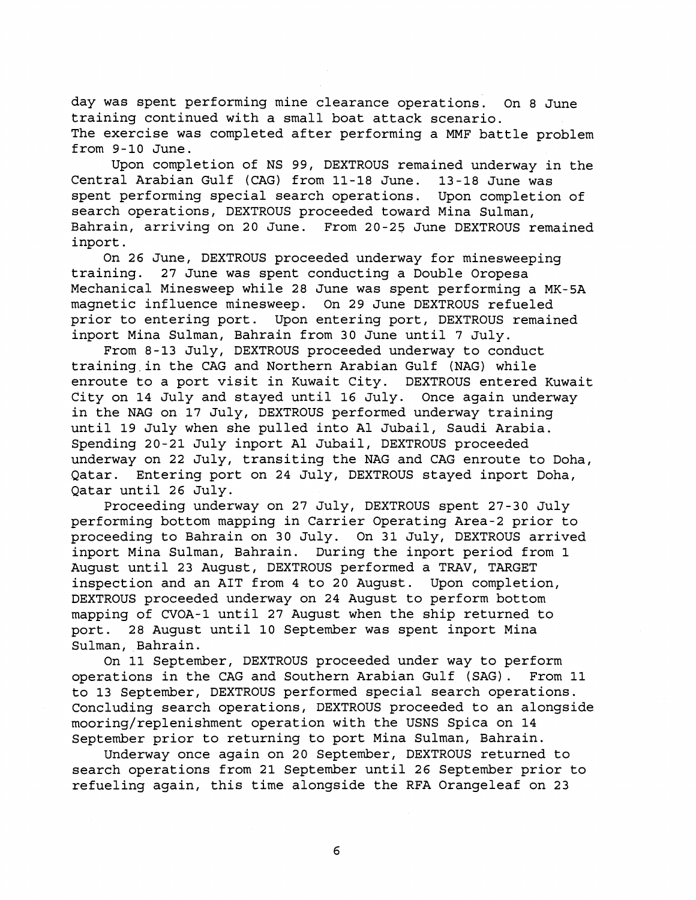day was spent performing mine clearance operations. On **8** June training continued with a small boat attack scenario. The exercise was completed after performing a MMF battle problem from **9-10** June.

Upon completion of MS **99,** DEXTROUS remained underway in the Central Arabian Gulf (CAG) from **11-18** June. **13-18** June was spent performing special search operations. Upon completion of search operations, DEXTROUS proceeded toward Mina Sulman, Bahrain, arriving on **20** June. From **20-25** June DEXTROUS remained inport.

On **26** June, DEXTROUS proceeded underway for minesweeping training. **27** June was spent conducting a Double Oropesa Mechanical Minesweep while **28** June was spent performing a MK-5A magnetic influence minesweep. On **29** June DEXTROUS refueled prior to entering port. Upon entering port, DEXTROUS remained inport Mina Sulman, Bahrain from **30** June until **7** July.

From **8-13** July, DEXTROUS proceeded underway to conduct training in the CAG and Northern Arabian Gulf (NAG) while enroute to a port visit in Kuwait City. DEXTROUS entered Kuwait City on **14** July and stayed until **16** July. Once again underway in the NAG on **17** July, DEXTROUS performed underway training until **19** July when she pulled into A1 Jubail, Saudi Arabia. Spending **20-21** July inport A1 Jubail, DEXTROUS proceeded underway on **22** July, transiting the NAG and CAG enroute to Doha, Qatar. Entering port on **24** July, DEXTROUS stayed inport Doha, Qatar until **26** July.

Proceeding underway on **27** July, DEXTROUS spent **27-30** July performing bottom mapping in Carrier Operating Area-2 prior to proceeding to Bahrain on **30** July. On **31** July, DEXTROUS arrived inport Mina Sulman, Bahrain. During the inport period from **1**  August until **23** August, DEXTROUS performed a TRAV, TARGET inspection and an AIT from **4** to **20** August. Upon completion, DEXTROUS proceeded underway on **24** August to perform bottom mapping of CVOA-1 until **27** August when the ship returned to port. **28** August until **10** September was spent inport Mina Sulman, Bahrain.

On **11** September, DEXTROUS proceeded under way to perform operations in the CAG and Southern Arabian Gulf (SAG). From **11**  to **13** September, DEXTROUS performed special search operations. Concluding search operations, DEXTROUS proceeded to an alongside mooring/replenishment operation with the USNS Spica on **14**  September prior to returning to port Mina Sulman, Bahrain.

Underway once again on **20** September, DEXTROUS returned to search operations from **21** September until **26** September prior to refueling again, this time alongside the RFA Orangeleaf on **23**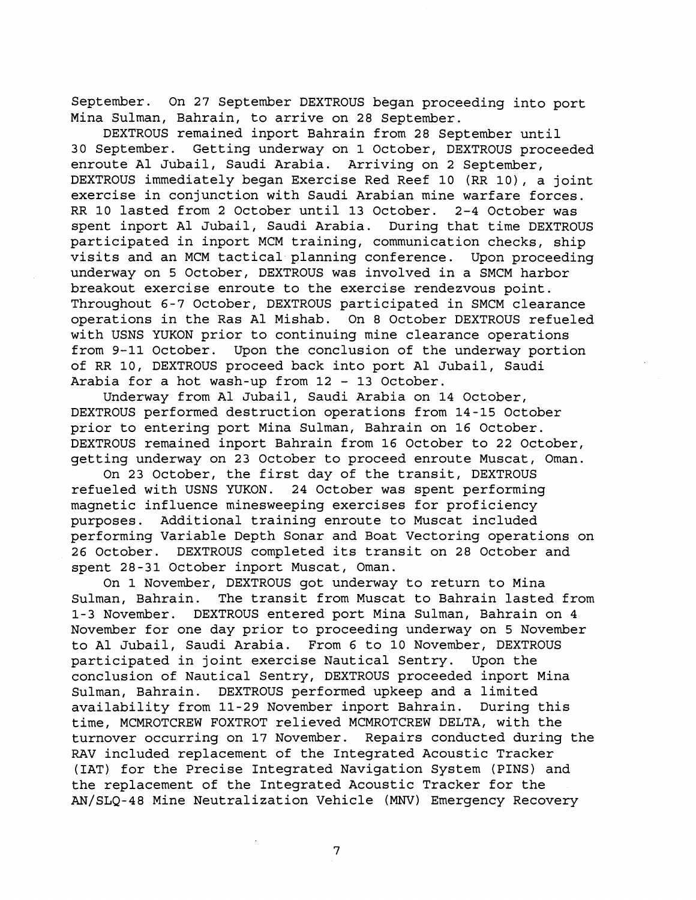September. On 27 September DEXTROUS began proceeding into port Mina Sulman, Bahrain, to arrive on 28 September.

DEXTROUS remained inport Bahrain from 28 September until 30 September. Getting underway on 1 October, DEXTROUS proceeded enroute A1 Jubail, Saudi Arabia. Arriving on 2 September, DEXTROUS immediately began Exercise Red Reef 10 (RR 10), a joint exercise in conjunction with Saudi Arabian mine warfare forces. RR 10 lasted from 2 October until 13 October. 2-4 October was spent inport A1 Jubail, Saudi Arabia. During that time DEXTROUS participated in inport MCM training, communication checks, ship visits and an MCM tactical planning conference. Upon proceeding underway on 5 October, DEXTROUS was involved in a SMCM harbor breakout exercise enroute to the exercise rendezvous point. Throughout 6-7 October, DEXTROUS participated in SMCM clearance operations in the Ras A1 Mishab. On 8 October DEXTROUS refueled with USNS YUKON prior to continuing mine clearance operations from 9-11 October. Upon the conclusion of the underway portion of RR 10, DEXTROUS proceed back into port A1 Jubail, Saudi Arabia for a hot wash-up from 12 - 13 October.

Underway from A1 Jubail, Saudi Arabia on 14 October, DEXTROUS performed destruction operations from 14-15 October prior to entering port Mina Sulman, Bahrain on 16 October. DEXTROUS remained inport Bahrain from 16 October to 22 October, getting underway on 23 October to proceed enroute Muscat, Oman.

On 23 October, the first day of the transit, DEXTROUS refueled with USNS YUKON. 24 October was spent performing magnetic influence minesweeping exercises for proficiency purposes. Additional training enroute to Muscat included performing Variable Depth Sonar and Boat Vectoring operations on 26 October. DEXTROUS completed its transit on 28 October and spent 28-31 October inport Muscat, Oman.

On 1 November, DEXTROUS got underway to return to Mina Sulman, Bahrain. The transit from Muscat to Bahrain lasted from 1-3 November. DEXTROUS entered port Mina Sulman, Bahrain on 4 November for one day prior to proceeding underway on 5 November to A1 Jubail, Saudi Arabia. From 6 to 10 November, DEXTROUS participated in joint exercise Nautical Sentry. Upon the conclusion of Nautical Sentry, DEXTROUS proceeded inport Mina Sulman, Bahrain. DEXTROUS performed upkeep and a limited availability from 11-29 November inport Bahrain. During this time, MCMROTCREW FOXTROT relieved MCMROTCREW DELTA, with the turnover occurring on 17 November. Repairs conducted during the RAV included replacement of the Integrated Acoustic Tracker (IAT) for the Precise Integrated Navigation System (PINS) and the replacement of the Integrated Acoustic Tracker for the AN/SLQ-48 Mine Neutralization Vehicle **(MNV)** Emergency Recovery